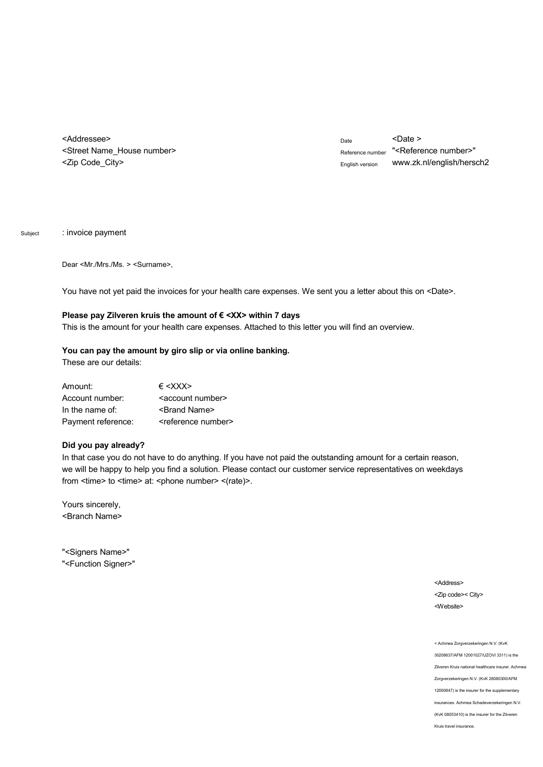<Addressee> <Street Name\_House number> <Zip Code\_City>

Date <Date > Reference number "<Reference number>" English version w[ww.zk.nl/english/hersch2](www.zk.nl/english/hersch2)

Subject : invoice payment

Dear <Mr./Mrs./Ms. > <Surname>,

You have not yet paid the invoices for your health care expenses. We sent you a letter about this on <Date>.

## Please pay Zilveren kruis the amount of € <XX> within 7 days

This is the amount for your health care expenses. Attached to this letter you will find an overview.

## **You can pay the amount by giro slip or via online banking.**

These are our details:

| Amount:            | $\epsilon$ <xxx></xxx>            |
|--------------------|-----------------------------------|
| Account number:    | <account number=""></account>     |
| In the name of:    | <brand name=""></brand>           |
| Payment reference: | <reference number=""></reference> |

## **Did you pay already?**

In that case you do not have to do anything. If you have not paid the outstanding amount for a certain reason, we will be happy to help you find a solution. Please contact our customer service representatives on weekdays from  $\langle$ time> to  $\langle$ time> at:  $\langle$ phone number>  $\langle$ (rate)>.

Yours sincerely, <Branch Name>

"<Signers Name>" "<Function Signer>"

> <Address> <Zip code>< City> <Website>

< Achmea Zorgverzekeringen N.V. (KvK 30208637/AFM 12001027/UZOVI 3311) is the Zilveren Kruis national healthcare insurer. Achmea Zorgverzekeringen N.V. (KvK 28080300/AFM 12000647) is the insurer for the supplementary insurances. Achmea Schadeverzekeringen N.V. (KvK 08053410) is the insurer for the Zilveren Kruis travel insurance.